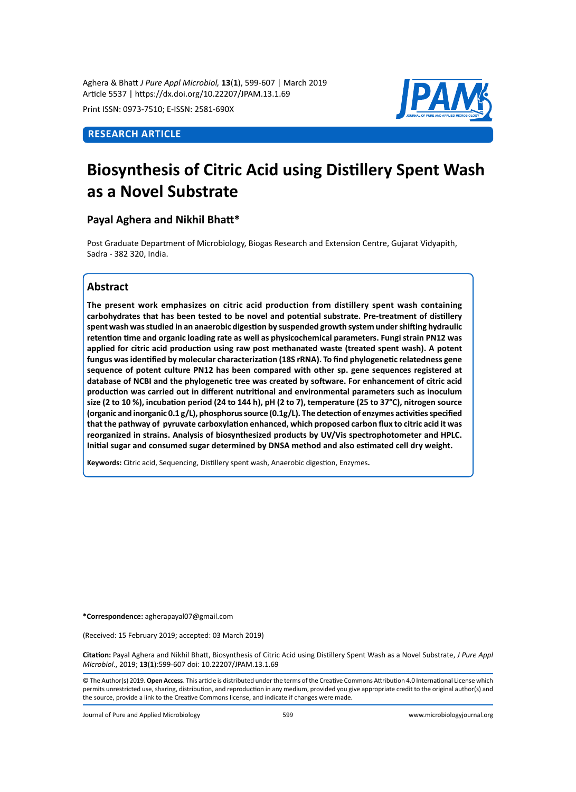Aghera & Bhatt *J Pure Appl Microbiol,* **13**(**1**), 599-607 | March 2019 Article 5537 | https://dx.doi.org/10.22207/JPAM.13.1.69

Print ISSN: 0973-7510; E-ISSN: 2581-690X

# **Research Article**



# **Biosynthesis of Citric Acid using Distillery Spent Wash as a Novel Substrate**

# **Payal Aghera and Nikhil Bhatt\***

Post Graduate Department of Microbiology, Biogas Research and Extension Centre, Gujarat Vidyapith, Sadra - 382 320, India.

# **Abstract**

**The present work emphasizes on citric acid production from distillery spent wash containing carbohydrates that has been tested to be novel and potential substrate. Pre-treatment of distillery spent wash was studied in an anaerobic digestion by suspended growth system under shifting hydraulic retention time and organic loading rate as well as physicochemical parameters. Fungi strain PN12 was applied for citric acid production using raw post methanated waste (treated spent wash). A potent fungus was identified by molecular characterization (18S rRNA). To find phylogenetic relatedness gene sequence of potent culture PN12 has been compared with other sp. gene sequences registered at database of NCBI and the phylogenetic tree was created by software. For enhancement of citric acid production was carried out in different nutritional and environmental parameters such as inoculum size (2 to 10 %), incubation period (24 to 144 h), pH (2 to 7), temperature (25 to 37°C), nitrogen source (organic and inorganic 0.1 g/L), phosphorus source (0.1g/L). The detection of enzymes activities specified that the pathway of pyruvate carboxylation enhanced, which proposed carbon flux to citric acid it was reorganized in strains. Analysis of biosynthesized products by UV/Vis spectrophotometer and HPLC. Initial sugar and consumed sugar determined by DNSA method and also estimated cell dry weight.**

**Keywords:** Citric acid, Sequencing, Distillery spent wash, Anaerobic digestion, Enzymes**.**

**\*Correspondence:** agherapayal07@gmail.com

(Received: 15 February 2019; accepted: 03 March 2019)

**Citation:** Payal Aghera and Nikhil Bhatt, Biosynthesis of Citric Acid using Distillery Spent Wash as a Novel Substrate, *J Pure Appl Microbiol*., 2019; **13**(**1**):599-607 doi: 10.22207/JPAM.13.1.69

© The Author(s) 2019. **Open Access**. This article is distributed under the terms of the Creative Commons Attribution 4.0 International License which permits unrestricted use, sharing, distribution, and reproduction in any medium, provided you give appropriate credit to the original author(s) and the source, provide a link to the Creative Commons license, and indicate if changes were made.

Journal of Pure and Applied Microbiology 599 www.microbiologyjournal.org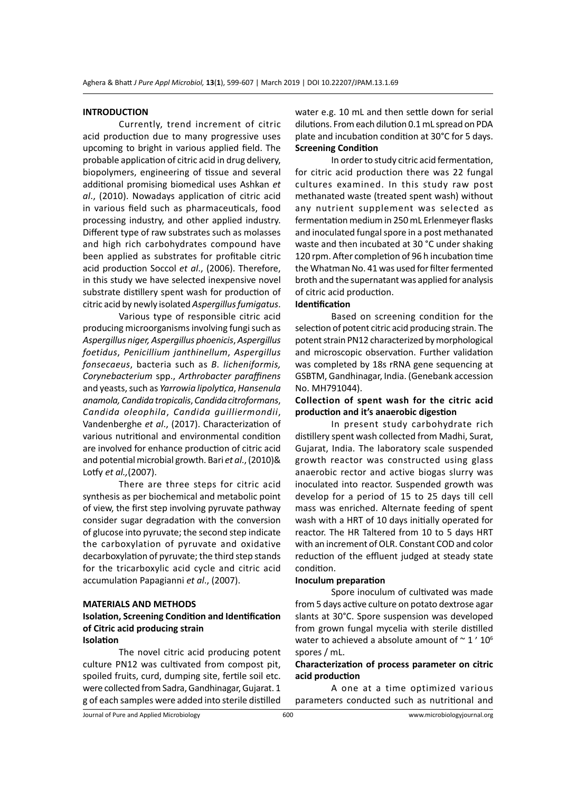### **INTRODUCTION**

Currently, trend increment of citric acid production due to many progressive uses upcoming to bright in various applied field. The probable application of citric acid in drug delivery, biopolymers, engineering of tissue and several additional promising biomedical uses Ashkan *et al*., (2010). Nowadays application of citric acid in various field such as pharmaceuticals, food processing industry, and other applied industry. Different type of raw substrates such as molasses and high rich carbohydrates compound have been applied as substrates for profitable citric acid production Soccol *et al*., (2006). Therefore, in this study we have selected inexpensive novel substrate distillery spent wash for production of citric acid by newly isolated *Aspergillus fumigatus*.

Various type of responsible citric acid producing microorganisms involving fungi such as *Aspergillus niger, Aspergillus phoenicis*, *Aspergillus foetidus*, *Penicillium janthinellum*, *Aspergillus fonsecaeus*, bacteria such as *B. licheniformis, Corynebacterium* spp., *Arthrobacter paraffinens* and yeasts, such as *Yarrowia lipolytica*, *Hansenula anamola, Candida tropicalis*, *Candida citroformans*, *Candida oleophila*, *Candida guilliermondii*, Vandenberghe *et al*., (2017). Characterization of various nutritional and environmental condition are involved for enhance production of citric acid and potential microbial growth. Bari *et al*., (2010)& Lotfy *et al.,*(2007).

There are three steps for citric acid synthesis as per biochemical and metabolic point of view, the first step involving pyruvate pathway consider sugar degradation with the conversion of glucose into pyruvate; the second step indicate the carboxylation of pyruvate and oxidative decarboxylation of pyruvate; the third step stands for the tricarboxylic acid cycle and citric acid accumulation Papagianni *et al*., (2007).

### **MATERIALS AND METHODS**

### **Isolation, Screening Condition and Identification of Citric acid producing strain Isolation**

The novel citric acid producing potent culture PN12 was cultivated from compost pit, spoiled fruits, curd, dumping site, fertile soil etc. were collected from Sadra, Gandhinagar, Gujarat. 1 g of each samples were added into sterile distilled water e.g. 10 mL and then settle down for serial dilutions. From each dilution 0.1 mL spread on PDA plate and incubation condition at 30°C for 5 days. **Screening Condition**

In order to study citric acid fermentation, for citric acid production there was 22 fungal cultures examined. In this study raw post methanated waste (treated spent wash) without any nutrient supplement was selected as fermentation medium in 250 mL Erlenmeyer flasks and inoculated fungal spore in a post methanated waste and then incubated at 30 °C under shaking 120 rpm. After completion of 96 h incubation time the Whatman No. 41 was used for filter fermented broth and the supernatant was applied for analysis of citric acid production.

## **Identification**

Based on screening condition for the selection of potent citric acid producing strain. The potent strain PN12 characterized by morphological and microscopic observation. Further validation was completed by 18s rRNA gene sequencing at GSBTM, Gandhinagar, India. (Genebank accession No. MH791044).

### **Collection of spent wash for the citric acid production and it's anaerobic digestion**

In present study carbohydrate rich distillery spent wash collected from Madhi, Surat, Gujarat, India. The laboratory scale suspended growth reactor was constructed using glass anaerobic rector and active biogas slurry was inoculated into reactor. Suspended growth was develop for a period of 15 to 25 days till cell mass was enriched. Alternate feeding of spent wash with a HRT of 10 days initially operated for reactor. The HR Taltered from 10 to 5 days HRT with an increment of OLR. Constant COD and color reduction of the effluent judged at steady state condition.

#### **Inoculum preparation**

Spore inoculum of cultivated was made from 5 days active culture on potato dextrose agar slants at 30°C. Spore suspension was developed from grown fungal mycelia with sterile distilled water to achieved a absolute amount of  $\sim$  1  $'$  10<sup>6</sup> spores / mL.

## **Characterization of process parameter on citric acid production**

A one at a time optimized various parameters conducted such as nutritional and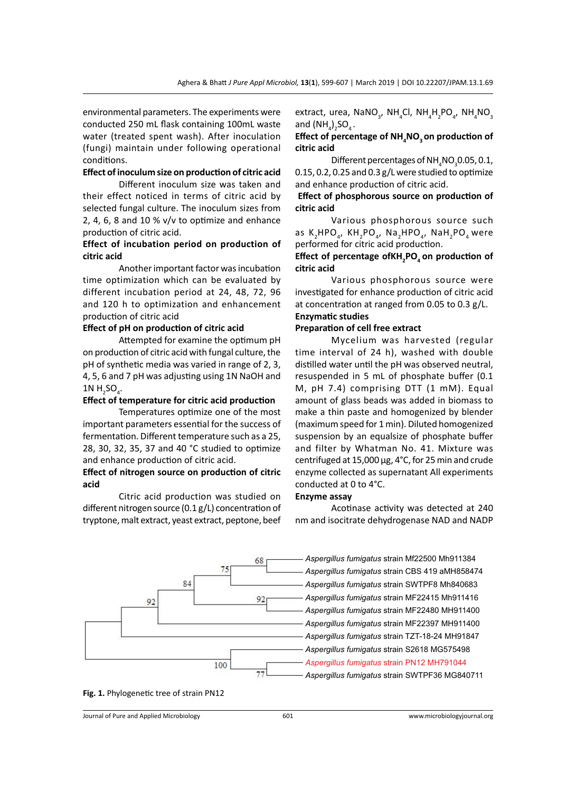environmental parameters. The experiments were conducted 250 mL flask containing 100mL waste water (treated spent wash). After inoculation (fungi) maintain under following operational conditions.

## **Effect of inoculum size on production of citric acid**

Different inoculum size was taken and their effect noticed in terms of citric acid by selected fungal culture. The inoculum sizes from 2, 4, 6, 8 and 10 % v/v to optimize and enhance production of citric acid.

## **Effect of incubation period on production of citric acid**

Another important factor was incubation time optimization which can be evaluated by different incubation period at 24, 48, 72, 96 and 120 h to optimization and enhancement production of citric acid

# **Effect of pH on production of citric acid**

Attempted for examine the optimum pH on production of citric acid with fungal culture, the pH of synthetic media was varied in range of 2, 3, 4, 5, 6 and 7 pH was adjusting using 1N NaOH and 1N  $H_2$ SO<sub>4</sub>.

### **Effect of temperature for citric acid production**

Temperatures optimize one of the most important parameters essential for the success of fermentation. Different temperature such as a 25, 28, 30, 32, 35, 37 and 40 °C studied to optimize and enhance production of citric acid.

### **Effect of nitrogen source on production of citric acid**

Citric acid production was studied on different nitrogen source (0.1 g/L) concentration of tryptone, malt extract, yeast extract, peptone, beef

extract, urea,  $\mathsf{NANO}_{_3}$ ,  $\mathsf{NH}_4\mathsf{Cl}$ ,  $\mathsf{NH}_4\mathsf{H}_2\mathsf{PO}_{_4}$ ,  $\mathsf{NH}_4\mathsf{NO}_{_3}$ and  $(\text{NH}_4)_2\text{SO}_4$  .

### **Effect of percentage of NH4 NO3 on production of citric acid**

Different percentages of  $\text{NH}_4\text{NO}_3^{\phantom{\dagger}}$ 0.05, 0.1, 0.15, 0.2, 0.25 and 0.3 g/L were studied to optimize and enhance production of citric acid.

### **Effect of phosphorous source on production of citric acid**

Various phosphorous source such as K<sub>2</sub>HPO<sub>4</sub>, KH<sub>2</sub>PO<sub>4</sub>, Na<sub>2</sub>HPO<sub>4</sub>, NaH<sub>2</sub>PO<sub>4</sub> were performed for citric acid production.

**Effect of percentage ofKH2 PO4 on production of citric acid**

Various phosphorous source were investigated for enhance production of citric acid at concentration at ranged from 0.05 to 0.3 g/L.

### **Enzymatic studies Preparation of cell free extract**

# Mycelium was harvested (regular

time interval of 24 h), washed with double distilled water until the pH was observed neutral, resuspended in 5 mL of phosphate buffer (0.1 M, pH 7.4) comprising DTT (1 mM). Equal amount of glass beads was added in biomass to make a thin paste and homogenized by blender (maximum speed for 1 min). Diluted homogenized suspension by an equalsize of phosphate buffer and filter by Whatman No. 41. Mixture was centrifuged at 15,000 µg, 4°C, for 25 min and crude enzyme collected as supernatant All experiments conducted at 0 to 4°C.

### **Enzyme assay**

Acotinase activity was detected at 240 nm and isocitrate dehydrogenase NAD and NADP



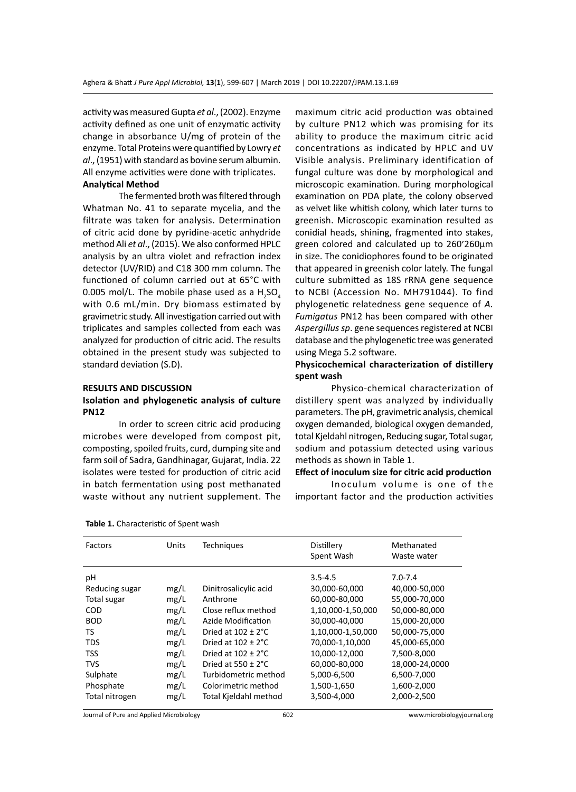activity was measured Gupta *et al*., (2002). Enzyme activity defined as one unit of enzymatic activity change in absorbance U/mg of protein of the enzyme. Total Proteins were quantified by Lowry *et al*., (1951) with standard as bovine serum albumin. All enzyme activities were done with triplicates.

### **Analytical Method**

The fermented broth was filtered through Whatman No. 41 to separate mycelia, and the filtrate was taken for analysis. Determination of citric acid done by pyridine-acetic anhydride method Ali *et al*., (2015). We also conformed HPLC analysis by an ultra violet and refraction index detector (UV/RID) and C18 300 mm column. The functioned of column carried out at 65°C with 0.005 mol/L. The mobile phase used as a  $H_2$ SO<sub>4</sub> with 0.6 mL/min. Dry biomass estimated by gravimetric study. All investigation carried out with triplicates and samples collected from each was analyzed for production of citric acid. The results obtained in the present study was subjected to standard deviation (S.D).

#### **RESULTS AND DISCUSSION**

### **Isolation and phylogenetic analysis of culture PN12**

In order to screen citric acid producing microbes were developed from compost pit, composting, spoiled fruits, curd, dumping site and farm soil of Sadra, Gandhinagar, Gujarat, India. 22 isolates were tested for production of citric acid in batch fermentation using post methanated waste without any nutrient supplement. The maximum citric acid production was obtained by culture PN12 which was promising for its ability to produce the maximum citric acid concentrations as indicated by HPLC and UV Visible analysis. Preliminary identification of fungal culture was done by morphological and microscopic examination. During morphological examination on PDA plate, the colony observed as velvet like whitish colony, which later turns to greenish. Microscopic examination resulted as conidial heads, shining, fragmented into stakes, green colored and calculated up to 260׳260µm in size. The conidiophores found to be originated that appeared in greenish color lately. The fungal culture submitted as 18S rRNA gene sequence to NCBI (Accession No. MH791044). To find phylogenetic relatedness gene sequence of *A. Fumigatus* PN12 has been compared with other *Aspergillus sp*. gene sequences registered at NCBI database and the phylogenetic tree was generated using Mega 5.2 software.

## **Physicochemical characterization of distillery spent wash**

Physico-chemical characterization of distillery spent was analyzed by individually parameters. The pH, gravimetric analysis, chemical oxygen demanded, biological oxygen demanded, total Kjeldahl nitrogen, Reducing sugar, Total sugar, sodium and potassium detected using various methods as shown in Table 1.

## **Effect of inoculum size for citric acid production**

Inoculum volume is one of the important factor and the production activities

| Units | <b>Techniques</b>              | Distillery<br>Spent Wash | Methanated<br>Waste water |
|-------|--------------------------------|--------------------------|---------------------------|
|       |                                | $3.5 - 4.5$              | $7.0 - 7.4$               |
| mg/L  | Dinitrosalicylic acid          | 30,000-60,000            | 40,000-50,000             |
| mg/L  | Anthrone                       | 60,000-80,000            | 55,000-70,000             |
| mg/L  | Close reflux method            | 1,10,000-1,50,000        | 50,000-80,000             |
| mg/L  | Azide Modification             | 30,000-40,000            | 15,000-20,000             |
| mg/L  | Dried at $102 \pm 2^{\circ}$ C | 1,10,000-1,50,000        | 50,000-75,000             |
| mg/L  | Dried at $102 \pm 2^{\circ}$ C | 70,000-1,10,000          | 45,000-65,000             |
| mg/L  | Dried at $102 \pm 2^{\circ}$ C | 10,000-12,000            | 7,500-8,000               |
| mg/L  | Dried at $550 \pm 2^{\circ}$ C | 60,000-80,000            | 18,000-24,0000            |
| mg/L  | Turbidometric method           | 5,000-6,500              | 6,500-7,000               |
| mg/L  | Colorimetric method            | 1,500-1,650              | 1,600-2,000               |
| mg/L  | Total Kjeldahl method          | 3,500-4,000              | 2,000-2,500               |
|       |                                |                          |                           |

**Table 1.** Characteristic of Spent wash

Journal of Pure and Applied Microbiology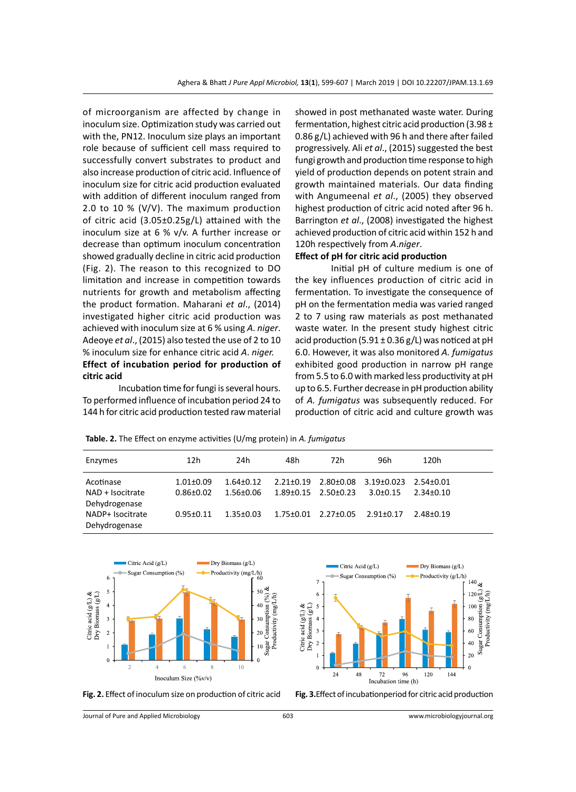of microorganism are affected by change in inoculum size. Optimization study was carried out with the, PN12. Inoculum size plays an important role because of sufficient cell mass required to successfully convert substrates to product and also increase production of citric acid. Influence of inoculum size for citric acid production evaluated with addition of different inoculum ranged from 2.0 to 10 % (V/V). The maximum production of citric acid (3.05±0.25g/L) attained with the inoculum size at 6 % v/v. A further increase or decrease than optimum inoculum concentration showed gradually decline in citric acid production (Fig. 2). The reason to this recognized to DO limitation and increase in competition towards nutrients for growth and metabolism affecting the product formation. Maharani *et al*., (2014) investigated higher citric acid production was achieved with inoculum size at 6 % using *A*. *niger*. Adeoye *et al*., (2015) also tested the use of 2 to 10 % inoculum size for enhance citric acid *A*. *niger.*  **Effect of incubation period for production of citric acid**

Incubation time for fungi is several hours. To performed influence of incubation period 24 to 144 h for citric acid production tested raw material showed in post methanated waste water. During fermentation, highest citric acid production (3.98 ± 0.86 g/L) achieved with 96 h and there after failed progressively. Ali *et al*., (2015) suggested the best fungi growth and production time response to high yield of production depends on potent strain and growth maintained materials. Our data finding with Angumeenal *et al*., (2005) they observed highest production of citric acid noted after 96 h. Barrington *et al*., (2008) investigated the highest achieved production of citric acid within 152 h and 120h respectively from *A*.*niger*.

### **Effect of pH for citric acid production**

Initial pH of culture medium is one of the key influences production of citric acid in fermentation. To investigate the consequence of pH on the fermentation media was varied ranged 2 to 7 using raw materials as post methanated waste water. In the present study highest citric acid production (5.91  $\pm$  0.36 g/L) was noticed at pH 6.0. However, it was also monitored *A. fumigatus* exhibited good production in narrow pH range from 5.5 to 6.0 with marked less productivity at pH up to 6.5. Further decrease in pH production ability of *A. fumigatus* was subsequently reduced. For production of citric acid and culture growth was

**Table. 2.** The Effect on enzyme activities (U/mg protein) in *A. fumigatus*

| Enzymes                           | 12h             | 24h             | 48h                             | 72h | 96h                            | 120h            |
|-----------------------------------|-----------------|-----------------|---------------------------------|-----|--------------------------------|-----------------|
| Acotinase                         | $1.01 \pm 0.09$ | $1.64 \pm 0.12$ | $2.21 \pm 0.19$                 |     | 2.80±0.08 3.19±0.023 2.54±0.01 |                 |
| NAD + Isocitrate<br>Dehydrogenase | $0.86 \pm 0.02$ | 1.56±0.06       | $1.89 \pm 0.15$ $2.50 \pm 0.23$ |     | $3.0 \pm 0.15$                 | $2.34 \pm 0.10$ |
| NADP+ Isocitrate<br>Dehydrogenase | $0.95 \pm 0.11$ | $1.35 \pm 0.03$ | $1.75 \pm 0.01$ $2.27 \pm 0.05$ |     | 2.91±0.17                      | 2.48+0.19       |







Journal of Pure and Applied Microbiology 603 www.microbiologyjournal.org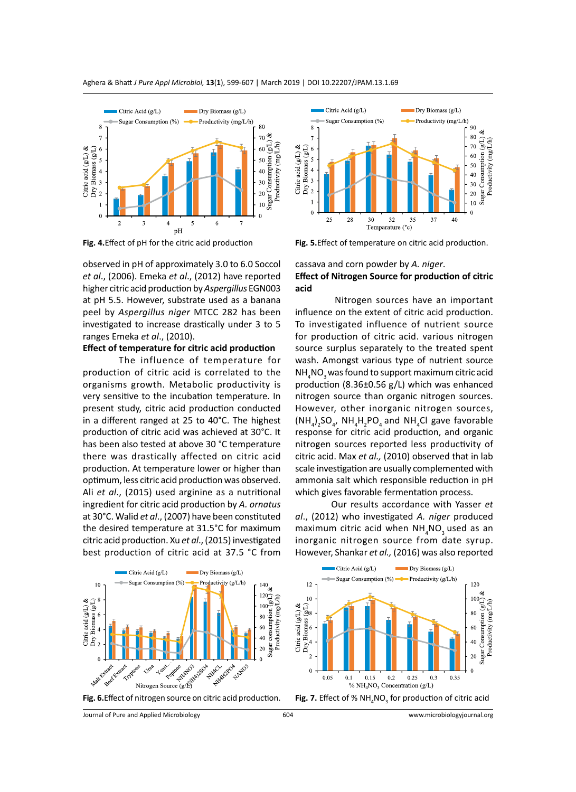



observed in pH of approximately 3.0 to 6.0 Soccol *et al*., (2006). Emeka *et al*., (2012) have reported higher citric acid production by *Aspergillus* EGN003 at pH 5.5. However, substrate used as a banana peel by *Aspergillus niger* MTCC 282 has been investigated to increase drastically under 3 to 5 ranges Emeka *et al*., (2010).

### **Effect of temperature for citric acid production**

The influence of temperature for production of citric acid is correlated to the organisms growth. Metabolic productivity is very sensitive to the incubation temperature. In present study, citric acid production conducted in a different ranged at 25 to 40°C. The highest production of citric acid was achieved at 30°C. It has been also tested at above 30 °C temperature there was drastically affected on citric acid production. At temperature lower or higher than optimum, less citric acid production was observed. Ali *et al*., (2015) used arginine as a nutritional ingredient for citric acid production by *A. ornatus* at 30°C. Walid *et al*., (2007) have been constituted the desired temperature at 31.5°C for maximum citric acid production. Xu *et al*., (2015) investigated best production of citric acid at 37.5 °C from



**Fig. 4.**Effect of pH for the citric acid production **Fig. 5.**Effect of temperature on citric acid production.

## cassava and corn powder by *A. niger*. **Effect of Nitrogen Source for production of citric acid**

 Nitrogen sources have an important influence on the extent of citric acid production. To investigated influence of nutrient source for production of citric acid. various nitrogen source surplus separately to the treated spent wash. Amongst various type of nutrient source  $\mathsf{NH}_4\mathsf{NO}_3$  was found to support maximum citric acid production (8.36±0.56 g/L) which was enhanced nitrogen source than organic nitrogen sources. However, other inorganic nitrogen sources,  $(\text{NH}_4)_2$ SO<sub>4</sub>, NH<sub>4</sub>H<sub>2</sub>PO<sub>4</sub> and NH<sub>4</sub>Cl gave favorable response for citric acid production, and organic nitrogen sources reported less productivity of citric acid. Max *et al.,* (2010) observed that in lab scale investigation are usually complemented with ammonia salt which responsible reduction in pH which gives favorable fermentation process.

Our results accordance with Yasser *et al*., (2012) who investigated *A. niger* produced maximum citric acid when  $\texttt{NH}_{\rm{_{4}}} \texttt{NO}_{\rm{_{3}}}$ used as an inorganic nitrogen source from date syrup. However, Shankar *et al.,* (2016) was also reported

 $\blacksquare$  Dry Biomass (g/L)

Citric Acid (g/L)







 $NO<sub>3</sub>$  for production of citric acid

604 www.microbiologyjournal.org

Journal of Pure and Applied Microbiology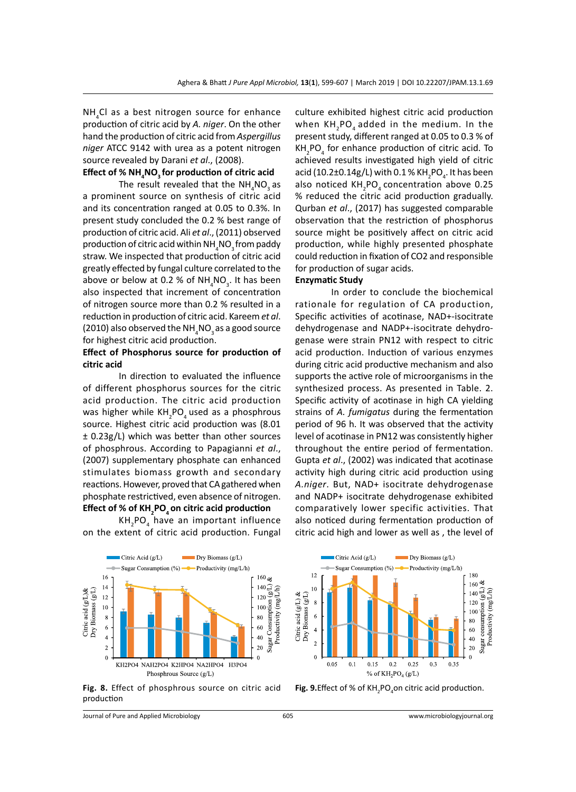NH<sub>4</sub>Cl as a best nitrogen source for enhance production of citric acid by *A. niger*. On the other hand the production of citric acid from *Aspergillus niger* ATCC 9142 with urea as a potent nitrogen source revealed by Darani *et al*., (2008).

# **Effect of % NH4 NO3 for production of citric acid**

The result revealed that the  $NH_{4}NO_{3}$  as a prominent source on synthesis of citric acid and its concentration ranged at 0.05 to 0.3%. In present study concluded the 0.2 % best range of production of citric acid. Ali *et al*., (2011) observed production of citric acid within NH $_{\rm_4}$ NO $_{\rm_3}$ from paddy straw. We inspected that production of citric acid greatly effected by fungal culture correlated to the above or below at 0.2 % of  $NH_{4}NO_{3}$ . It has been also inspected that increment of concentration of nitrogen source more than 0.2 % resulted in a reduction in production of citric acid. Kareem *et al*. (2010) also observed the NH<sub>4</sub>NO<sub>3</sub> as a good source for highest citric acid production.

## **Effect of Phosphorus source for production of citric acid**

In direction to evaluated the influence of different phosphorus sources for the citric acid production. The citric acid production was higher while  $KH_{2}$ PO<sub>4</sub> used as a phosphrous source. Highest citric acid production was (8.01 ± 0.23g/L) which was better than other sources of phosphrous. According to Papagianni *et al*., (2007) supplementary phosphate can enhanced stimulates biomass growth and secondary reactions. However, proved that CA gathered when phosphate restrictived, even absence of nitrogen. **Effect of % of KH2 PO4 on citric acid production**

KH<sub>2</sub>PO<sub>4</sub> have an important influence on the extent of citric acid production. Fungal

culture exhibited highest citric acid production when  $\mathsf{KH}_{_2}\mathsf{PO}_{_4}$  added in the medium. In the present study, different ranged at 0.05 to 0.3 % of  $KH_{2}PO_{4}$  for enhance production of citric acid. To achieved results investigated high yield of citric acid (10.2±0.14g/L) with 0.1 % KH<sub>2</sub>PO<sub>4</sub>. It has been also noticed  $\text{KH}_{2}\text{PO}_{4}$  concentration above 0.25 % reduced the citric acid production gradually. Qurban *et al*., (2017) has suggested comparable observation that the restriction of phosphorus source might be positively affect on citric acid production, while highly presented phosphate could reduction in fixation of CO2 and responsible for production of sugar acids.

## **Enzymatic Study**

In order to conclude the biochemical rationale for regulation of CA production, Specific activities of acotinase, NAD+-isocitrate dehydrogenase and NADP+-isocitrate dehydrogenase were strain PN12 with respect to citric acid production. Induction of various enzymes during citric acid productive mechanism and also supports the active role of microorganisms in the synthesized process. As presented in Table. 2. Specific activity of acotinase in high CA yielding strains of *A. fumigatus* during the fermentation period of 96 h. It was observed that the activity level of acotinase in PN12 was consistently higher throughout the entire period of fermentation. Gupta *et al*., (2002) was indicated that acotinase activity high during citric acid production using *A.niger*. But, NAD+ isocitrate dehydrogenase and NADP+ isocitrate dehydrogenase exhibited comparatively lower specific activities. That also noticed during fermentation production of citric acid high and lower as well as , the level of



**Fig. 8.** Effect of phosphrous source on citric acid production

Journal of Pure and Applied Microbiology 605 www.microbiologyjournal.org



**Fig. 9.**Effect of % of KH<sub>2</sub>PO<sub>4</sub>on citric acid production.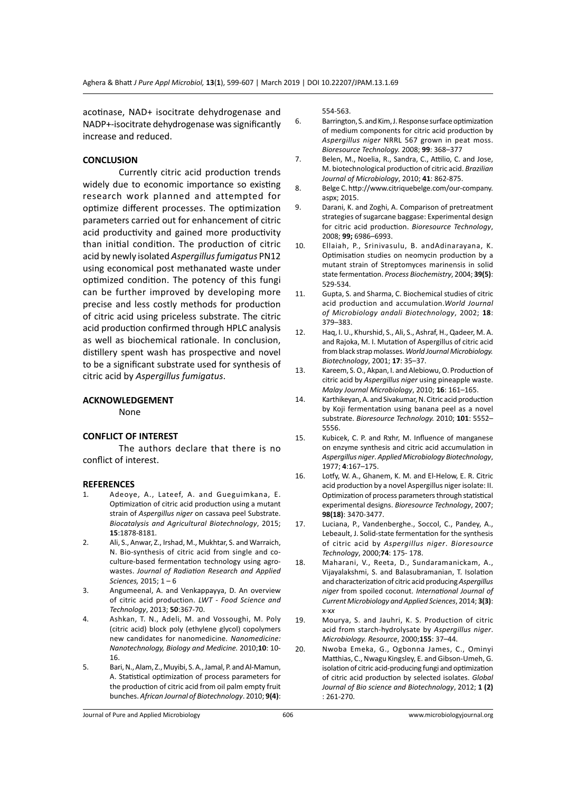acotinase, NAD+ isocitrate dehydrogenase and NADP+-isocitrate dehydrogenase was significantly increase and reduced.

### **CONCLUSION**

Currently citric acid production trends widely due to economic importance so existing research work planned and attempted for optimize different processes. The optimization parameters carried out for enhancement of citric acid productivity and gained more productivity than initial condition. The production of citric acid by newly isolated *Aspergillus fumigatus* PN12 using economical post methanated waste under optimized condition. The potency of this fungi can be further improved by developing more precise and less costly methods for production of citric acid using priceless substrate. The citric acid production confirmed through HPLC analysis as well as biochemical rationale. In conclusion, distillery spent wash has prospective and novel to be a significant substrate used for synthesis of citric acid by *Aspergillus fumigatus*.

### **ACKNOWLEDGEMENT**

None

### **CONFLICT OF INTEREST**

The authors declare that there is no conflict of interest.

### **REFERENCES**

- 1. Adeoye, A., Lateef, A. and Gueguimkana, E. Optimization of citric acid production using a mutant strain of *Aspergillus niger* on cassava peel Substrate. *Biocatalysis and Agricultural Biotechnology*, 2015; **15**:1878-8181.
- 2. Ali, S., Anwar, Z., Irshad, M., Mukhtar, S. and Warraich, N. Bio-synthesis of citric acid from single and coculture-based fermentation technology using agrowastes. *Journal of Radiation Research and Applied Sciences,* 2015; 1 – 6
- 3. Angumeenal, A. and Venkappayya, D. An overview of citric acid production. *LWT - Food Science and Technology*, 2013; **50**:367-70.
- 4. Ashkan, T. N., Adeli, M. and Vossoughi, M. Poly (citric acid) block poly (ethylene glycol) copolymers new candidates for nanomedicine. *Nanomedicine: Nanotechnology, Biology and Medicine.* 2010;**10**: 10- 16.
- 5. Bari, N., Alam, Z., Muyibi, S. A., Jamal, P. and Al-Mamun, A. Statistical optimization of process parameters for the production of citric acid from oil palm empty fruit bunches. *African Journal of Biotechnology*. 2010; **9(4)**:

554-563.

- 6. Barrington, S. and Kim, J. Response surface optimization of medium components for citric acid production by *Aspergillus niger* NRRL 567 grown in peat moss. *Bioresource Technology.* 2008; **99**: 368–377
- 7. Belen, M., Noelia, R., Sandra, C., Attilio, C. and Jose, M. biotechnological production of citric acid. *Brazilian Journal of Microbiology*, 2010; **41**: 862-875.
- 8. Belge C. http://www.citriquebelge.com/our-company. aspx; 2015.
- 9. Darani, K. and Zoghi, A. Comparison of pretreatment strategies of sugarcane baggase: Experimental design for citric acid production. *Bioresource Technology*, 2008; **99;** 6986–6993.
- 10. Ellaiah, P., Srinivasulu, B. andAdinarayana, K. Optimisation studies on neomycin production by a mutant strain of Streptomyces marinensis in solid state fermentation. *Process Biochemistry*, 2004; **39(5)**: 529-534.
- 11. Gupta, S. and Sharma, C. Biochemical studies of citric acid production and accumulation.*World Journal of Microbiology andali Biotechnology*, 2002; **18**: 379–383.
- 12. Haq, I. U., Khurshid, S., Ali, S., Ashraf, H., Qadeer, M. A. and Rajoka, M. I. Mutation of Aspergillus of citric acid from black strap molasses. *World Journal Microbiology. Biotechnology*, 2001; **17**: 35–37.
- 13. Kareem, S. O., Akpan, I. and Alebiowu, O. Production of citric acid by *Aspergillus niger* using pineapple waste. *Malay Journal Microbiology*, 2010; **16**: 161–165.
- 14. Karthikeyan, A. and Sivakumar, N. Citric acid production by Koji fermentation using banana peel as a novel substrate. *Bioresource Technology.* 2010; **101**: 5552– 5556.
- 15. Kubicek, C. P. and Rצhr, M. Influence of manganese on enzyme synthesis and citric acid accumulation in *Aspergillus niger*. *Applied Microbiology Biotechnology*, 1977; **4**:167–175.
- 16. Lotfy, W. A., Ghanem, K. M. and El-Helow, E. R. Citric acid production by a novel Aspergillus niger isolate: II. Optimization of process parameters through statistical experimental designs. *Bioresource Technology*, 2007; **98(18)**: 3470-3477.
- 17. Luciana, P., Vandenberghe., Soccol, C., Pandey, A., Lebeault, J. Solid-state fermentation for the synthesis of citric acid by *Aspergillus niger*. *Bioresource Technology*, 2000;**74**: 175- 178.
- 18. Maharani, V., Reeta, D., Sundaramanickam, A., Vijayalakshmi, S. and Balasubramanian, T. Isolation and characterization of citric acid producing *Aspergillus niger* from spoiled coconut. *International Journal of Current Microbiology and Applied Sciences*, 2014; **3(3)**: x-x*x*
- 19. Mourya, S. and Jauhri, K. S. Production of citric acid from starch-hydrolysate by *Aspergillus niger*. *Microbiology. Resource*, 2000;**155**: 37–44.
- 20. Nwoba Emeka, G., Ogbonna James, C., Ominyi Matthias, C., Nwagu Kingsley, E. and Gibson-Umeh, G. isolation of citric acid-producing fungi and optimization of citric acid production by selected isolates. *Global Journal of Bio science and Biotechnology*, 2012; **1 (2)** : 261-270.